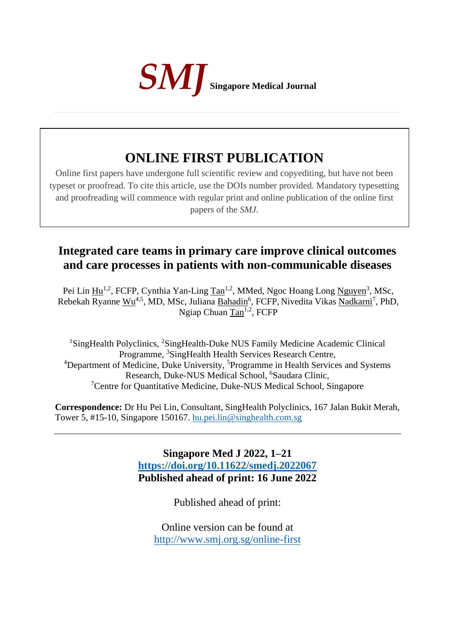

# **ONLINE FIRST PUBLICATION**

Online first papers have undergone full scientific review and copyediting, but have not been typeset or proofread. To cite this article, use the DOIs number provided. Mandatory typesetting and proofreading will commence with regular print and online publication of the online first papers of the *SMJ*.

# **Integrated care teams in primary care improve clinical outcomes and care processes in patients with non-communicable diseases**

Pei Lin  $\text{Hu}^{1,2}$ , FCFP, Cynthia Yan-Ling  $\text{Tan}^{1,2}$ , MMed, Ngoc Hoang Long Nguyen<sup>3</sup>, MSc, Rebekah Ryanne Wu<sup>4,5</sup>, MD, MSc, Juliana Bahadin<sup>6</sup>, FCFP, Nivedita Vikas Nadkarni<sup>7</sup>, PhD, Ngiap Chuan Tan<sup>1,2</sup>, FCFP

<sup>1</sup>SingHealth Polyclinics, <sup>2</sup>SingHealth-Duke NUS Family Medicine Academic Clinical Programme, <sup>3</sup>SingHealth Health Services Research Centre, <sup>4</sup>Department of Medicine, Duke University, <sup>5</sup>Programme in Health Services and Systems Research, Duke-NUS Medical School, <sup>6</sup>Saudara Clinic, <sup>7</sup>Centre for Quantitative Medicine, Duke-NUS Medical School, Singapore

**Correspondence:** Dr Hu Pei Lin, Consultant, SingHealth Polyclinics, 167 Jalan Bukit Merah, Tower 5, #15-10, Singapore 150167. [hu.pei.lin@singhealth.com.sg](mailto:hu.pei.lin@singhealth.com.sg)

> **Singapore Med J 2022, 1–21 <https://doi.org/10.11622/smedj.2022067> Published ahead of print: 16 June 2022**

> > Published ahead of print:

Online version can be found at <http://www.smj.org.sg/online-first>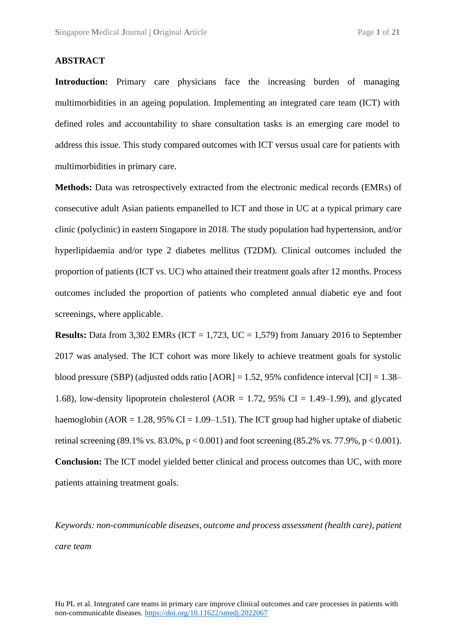#### **ABSTRACT**

**Introduction:** Primary care physicians face the increasing burden of managing multimorbidities in an ageing population. Implementing an integrated care team (ICT) with defined roles and accountability to share consultation tasks is an emerging care model to address this issue. This study compared outcomes with ICT versus usual care for patients with multimorbidities in primary care.

**Methods:** Data was retrospectively extracted from the electronic medical records (EMRs) of consecutive adult Asian patients empanelled to ICT and those in UC at a typical primary care clinic (polyclinic) in eastern Singapore in 2018. The study population had hypertension, and/or hyperlipidaemia and/or type 2 diabetes mellitus (T2DM). Clinical outcomes included the proportion of patients (ICT vs. UC) who attained their treatment goals after 12 months. Process outcomes included the proportion of patients who completed annual diabetic eye and foot screenings, where applicable.

**Results:** Data from 3,302 EMRs (ICT = 1,723, UC = 1,579) from January 2016 to September 2017 was analysed. The ICT cohort was more likely to achieve treatment goals for systolic blood pressure (SBP) (adjusted odds ratio  $[AOR] = 1.52$ , 95% confidence interval  $[CI] = 1.38-$ 1.68), low-density lipoprotein cholesterol (AOR = 1.72, 95% CI = 1.49–1.99), and glycated haemoglobin (AOR = 1.28, 95% CI = 1.09–1.51). The ICT group had higher uptake of diabetic retinal screening (89.1% vs. 83.0%,  $p < 0.001$ ) and foot screening (85.2% vs. 77.9%,  $p < 0.001$ ). **Conclusion:** The ICT model yielded better clinical and process outcomes than UC, with more patients attaining treatment goals.

*Keywords: non-communicable diseases*, *outcome and process assessment (health care), patient care team*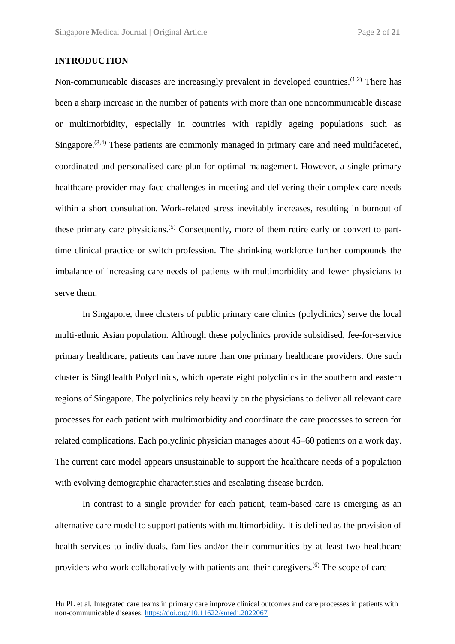#### **INTRODUCTION**

Non-communicable diseases are increasingly prevalent in developed countries.<sup>(1,2)</sup> There has been a sharp increase in the number of patients with more than one noncommunicable disease or multimorbidity, especially in countries with rapidly ageing populations such as Singapore.<sup>(3,4)</sup> These patients are commonly managed in primary care and need multifaceted, coordinated and personalised care plan for optimal management. However, a single primary healthcare provider may face challenges in meeting and delivering their complex care needs within a short consultation. Work-related stress inevitably increases, resulting in burnout of these primary care physicians.<sup>(5)</sup> Consequently, more of them retire early or convert to parttime clinical practice or switch profession. The shrinking workforce further compounds the imbalance of increasing care needs of patients with multimorbidity and fewer physicians to serve them.

In Singapore, three clusters of public primary care clinics (polyclinics) serve the local multi-ethnic Asian population. Although these polyclinics provide subsidised, fee-for-service primary healthcare, patients can have more than one primary healthcare providers. One such cluster is SingHealth Polyclinics, which operate eight polyclinics in the southern and eastern regions of Singapore. The polyclinics rely heavily on the physicians to deliver all relevant care processes for each patient with multimorbidity and coordinate the care processes to screen for related complications. Each polyclinic physician manages about 45–60 patients on a work day. The current care model appears unsustainable to support the healthcare needs of a population with evolving demographic characteristics and escalating disease burden.

In contrast to a single provider for each patient, team-based care is emerging as an alternative care model to support patients with multimorbidity. It is defined as the provision of health services to individuals, families and/or their communities by at least two healthcare providers who work collaboratively with patients and their caregivers.(6) The scope of care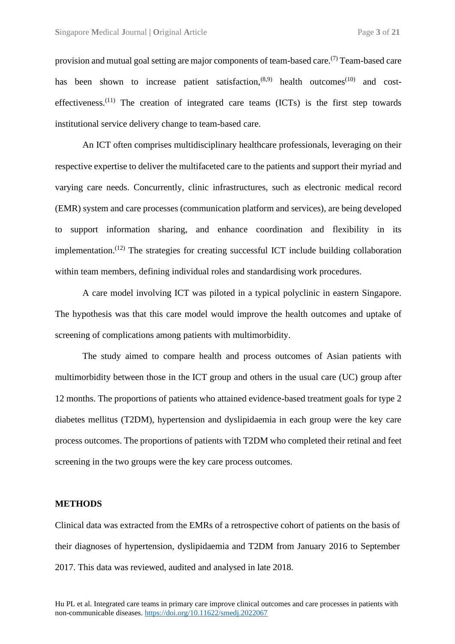provision and mutual goal setting are major components of team-based care.<sup>(7)</sup> Team-based care has been shown to increase patient satisfaction,  $(8,9)$  health outcomes<sup>(10)</sup> and costeffectiveness.<sup> $(11)$ </sup> The creation of integrated care teams  $(ICTs)$  is the first step towards institutional service delivery change to team-based care.

An ICT often comprises multidisciplinary healthcare professionals, leveraging on their respective expertise to deliver the multifaceted care to the patients and support their myriad and varying care needs. Concurrently, clinic infrastructures, such as electronic medical record (EMR) system and care processes (communication platform and services), are being developed to support information sharing, and enhance coordination and flexibility in its implementation.<sup> $(12)$ </sup> The strategies for creating successful ICT include building collaboration within team members, defining individual roles and standardising work procedures.

A care model involving ICT was piloted in a typical polyclinic in eastern Singapore. The hypothesis was that this care model would improve the health outcomes and uptake of screening of complications among patients with multimorbidity.

The study aimed to compare health and process outcomes of Asian patients with multimorbidity between those in the ICT group and others in the usual care (UC) group after 12 months. The proportions of patients who attained evidence-based treatment goals for type 2 diabetes mellitus (T2DM), hypertension and dyslipidaemia in each group were the key care process outcomes. The proportions of patients with T2DM who completed their retinal and feet screening in the two groups were the key care process outcomes.

#### **METHODS**

Clinical data was extracted from the EMRs of a retrospective cohort of patients on the basis of their diagnoses of hypertension, dyslipidaemia and T2DM from January 2016 to September 2017. This data was reviewed, audited and analysed in late 2018.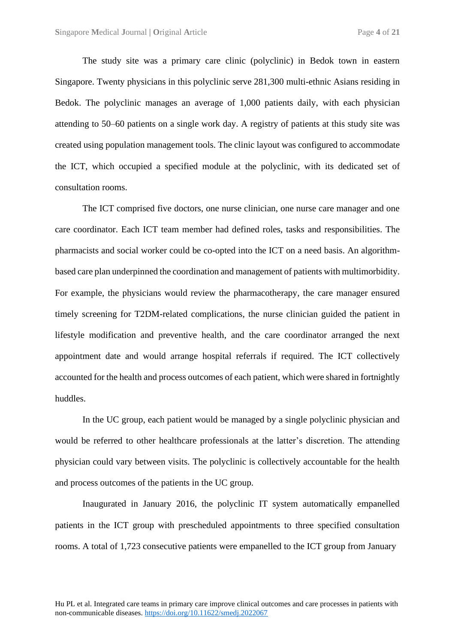The study site was a primary care clinic (polyclinic) in Bedok town in eastern Singapore. Twenty physicians in this polyclinic serve 281,300 multi-ethnic Asians residing in Bedok. The polyclinic manages an average of 1,000 patients daily, with each physician attending to 50–60 patients on a single work day. A registry of patients at this study site was created using population management tools. The clinic layout was configured to accommodate the ICT, which occupied a specified module at the polyclinic, with its dedicated set of consultation rooms.

The ICT comprised five doctors, one nurse clinician, one nurse care manager and one care coordinator. Each ICT team member had defined roles, tasks and responsibilities. The pharmacists and social worker could be co-opted into the ICT on a need basis. An algorithmbased care plan underpinned the coordination and management of patients with multimorbidity. For example, the physicians would review the pharmacotherapy, the care manager ensured timely screening for T2DM-related complications, the nurse clinician guided the patient in lifestyle modification and preventive health, and the care coordinator arranged the next appointment date and would arrange hospital referrals if required. The ICT collectively accounted for the health and process outcomes of each patient, which were shared in fortnightly huddles.

In the UC group, each patient would be managed by a single polyclinic physician and would be referred to other healthcare professionals at the latter's discretion. The attending physician could vary between visits. The polyclinic is collectively accountable for the health and process outcomes of the patients in the UC group.

Inaugurated in January 2016, the polyclinic IT system automatically empanelled patients in the ICT group with prescheduled appointments to three specified consultation rooms. A total of 1,723 consecutive patients were empanelled to the ICT group from January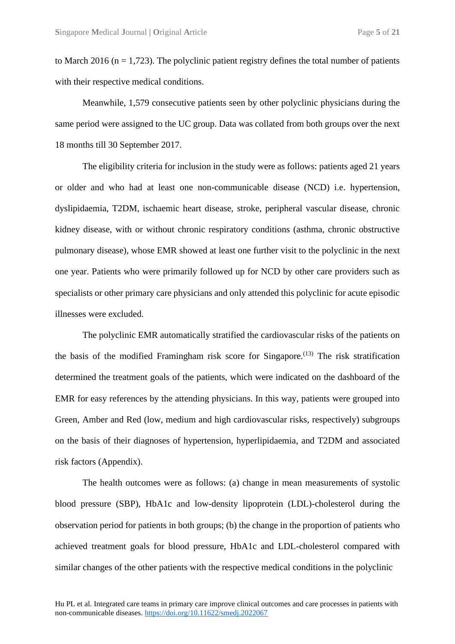to March 2016 ( $n = 1,723$ ). The polyclinic patient registry defines the total number of patients with their respective medical conditions.

Meanwhile, 1,579 consecutive patients seen by other polyclinic physicians during the same period were assigned to the UC group. Data was collated from both groups over the next 18 months till 30 September 2017.

The eligibility criteria for inclusion in the study were as follows: patients aged 21 years or older and who had at least one non-communicable disease (NCD) i.e. hypertension, dyslipidaemia, T2DM, ischaemic heart disease, stroke, peripheral vascular disease, chronic kidney disease, with or without chronic respiratory conditions (asthma, chronic obstructive pulmonary disease), whose EMR showed at least one further visit to the polyclinic in the next one year. Patients who were primarily followed up for NCD by other care providers such as specialists or other primary care physicians and only attended this polyclinic for acute episodic illnesses were excluded.

The polyclinic EMR automatically stratified the cardiovascular risks of the patients on the basis of the modified Framingham risk score for Singapore.<sup> $(13)$ </sup> The risk stratification determined the treatment goals of the patients, which were indicated on the dashboard of the EMR for easy references by the attending physicians. In this way, patients were grouped into Green, Amber and Red (low, medium and high cardiovascular risks, respectively) subgroups on the basis of their diagnoses of hypertension, hyperlipidaemia, and T2DM and associated risk factors (Appendix).

The health outcomes were as follows: (a) change in mean measurements of systolic blood pressure (SBP), HbA1c and low-density lipoprotein (LDL)-cholesterol during the observation period for patients in both groups; (b) the change in the proportion of patients who achieved treatment goals for blood pressure, HbA1c and LDL-cholesterol compared with similar changes of the other patients with the respective medical conditions in the polyclinic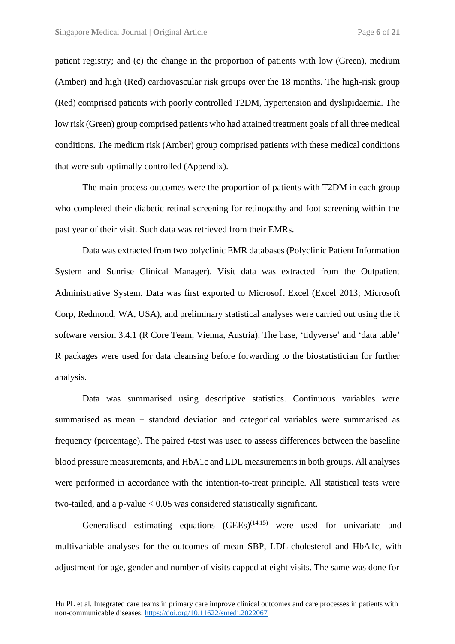patient registry; and (c) the change in the proportion of patients with low (Green), medium (Amber) and high (Red) cardiovascular risk groups over the 18 months. The high-risk group (Red) comprised patients with poorly controlled T2DM, hypertension and dyslipidaemia. The low risk (Green) group comprised patients who had attained treatment goals of all three medical conditions. The medium risk (Amber) group comprised patients with these medical conditions that were sub-optimally controlled (Appendix).

The main process outcomes were the proportion of patients with T2DM in each group who completed their diabetic retinal screening for retinopathy and foot screening within the past year of their visit. Such data was retrieved from their EMRs.

Data was extracted from two polyclinic EMR databases (Polyclinic Patient Information System and Sunrise Clinical Manager). Visit data was extracted from the Outpatient Administrative System. Data was first exported to Microsoft Excel (Excel 2013; Microsoft Corp, Redmond, WA, USA), and preliminary statistical analyses were carried out using the R software version 3.4.1 (R Core Team, Vienna, Austria). The base, 'tidyverse' and 'data table' R packages were used for data cleansing before forwarding to the biostatistician for further analysis.

Data was summarised using descriptive statistics. Continuous variables were summarised as mean ± standard deviation and categorical variables were summarised as frequency (percentage). The paired *t*-test was used to assess differences between the baseline blood pressure measurements, and HbA1c and LDL measurements in both groups. All analyses were performed in accordance with the intention-to-treat principle. All statistical tests were two-tailed, and a p-value  $< 0.05$  was considered statistically significant.

Generalised estimating equations  $(GEEs)^{(14,15)}$  were used for univariate and multivariable analyses for the outcomes of mean SBP, LDL-cholesterol and HbA1c, with adjustment for age, gender and number of visits capped at eight visits. The same was done for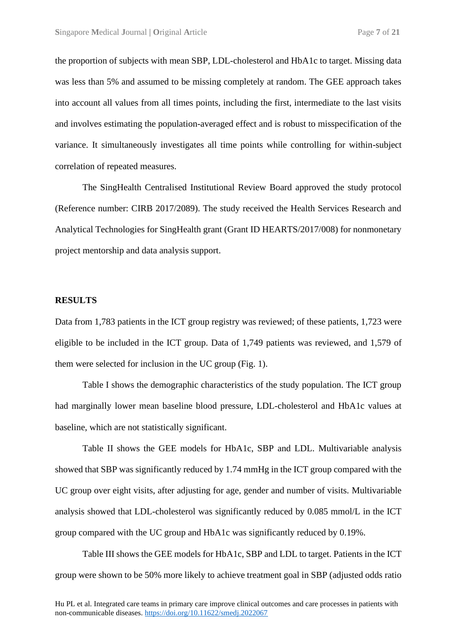the proportion of subjects with mean SBP, LDL-cholesterol and HbA1c to target. Missing data was less than 5% and assumed to be missing completely at random. The GEE approach takes into account all values from all times points, including the first, intermediate to the last visits and involves estimating the population-averaged effect and is robust to misspecification of the variance. It simultaneously investigates all time points while controlling for within-subject correlation of repeated measures.

The SingHealth Centralised Institutional Review Board approved the study protocol (Reference number: CIRB 2017/2089). The study received the Health Services Research and Analytical Technologies for SingHealth grant (Grant ID HEARTS/2017/008) for nonmonetary project mentorship and data analysis support.

#### **RESULTS**

Data from 1,783 patients in the ICT group registry was reviewed; of these patients, 1,723 were eligible to be included in the ICT group. Data of 1,749 patients was reviewed, and 1,579 of them were selected for inclusion in the UC group (Fig. 1).

Table I shows the demographic characteristics of the study population. The ICT group had marginally lower mean baseline blood pressure, LDL-cholesterol and HbA1c values at baseline, which are not statistically significant.

Table II shows the GEE models for HbA1c, SBP and LDL. Multivariable analysis showed that SBP was significantly reduced by 1.74 mmHg in the ICT group compared with the UC group over eight visits, after adjusting for age, gender and number of visits. Multivariable analysis showed that LDL-cholesterol was significantly reduced by 0.085 mmol/L in the ICT group compared with the UC group and HbA1c was significantly reduced by 0.19%.

Table III shows the GEE models for HbA1c, SBP and LDL to target. Patients in the ICT group were shown to be 50% more likely to achieve treatment goal in SBP (adjusted odds ratio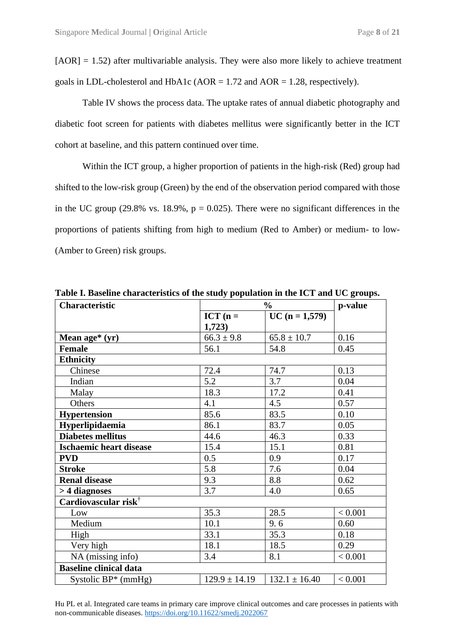$[AOR] = 1.52$ ) after multivariable analysis. They were also more likely to achieve treatment goals in LDL-cholesterol and HbA1c ( $AOR = 1.72$  and  $AOR = 1.28$ , respectively).

Table IV shows the process data. The uptake rates of annual diabetic photography and diabetic foot screen for patients with diabetes mellitus were significantly better in the ICT cohort at baseline, and this pattern continued over time.

Within the ICT group, a higher proportion of patients in the high-risk (Red) group had shifted to the low-risk group (Green) by the end of the observation period compared with those in the UC group (29.8% vs. 18.9%,  $p = 0.025$ ). There were no significant differences in the proportions of patients shifting from high to medium (Red to Amber) or medium- to low- (Amber to Green) risk groups.

| $\frac{6}{10}$    |                   | p-value |
|-------------------|-------------------|---------|
| $ICT (n =$        | $UC (n = 1,579)$  |         |
| 1,723)            |                   |         |
| $66.3 \pm 9.8$    | $65.8 \pm 10.7$   | 0.16    |
| 56.1              | 54.8              | 0.45    |
|                   |                   |         |
| 72.4              | 74.7              | 0.13    |
| 5.2               | 3.7               | 0.04    |
| 18.3              | 17.2              | 0.41    |
| 4.1               | 4.5               | 0.57    |
| 85.6              | 83.5              | 0.10    |
| 86.1              | 83.7              | 0.05    |
| 44.6              | 46.3              | 0.33    |
| 15.4              | 15.1              | 0.81    |
| 0.5               | 0.9               | 0.17    |
| 5.8               | 7.6               | 0.04    |
| 9.3               | 8.8               | 0.62    |
| 3.7               | 4.0               | 0.65    |
|                   |                   |         |
| 35.3              | 28.5              | < 0.001 |
| 10.1              | 9.6               | 0.60    |
| 33.1              | 35.3              | 0.18    |
| 18.1              | 18.5              | 0.29    |
| 3.4               | 8.1               | < 0.001 |
|                   |                   |         |
| $129.9 \pm 14.19$ | $132.1 \pm 16.40$ | < 0.001 |
|                   |                   |         |

**Table I. Baseline characteristics of the study population in the ICT and UC groups.**

Hu PL et al. Integrated care teams in primary care improve clinical outcomes and care processes in patients with non-communicable diseases. <https://doi.org/10.11622/smedj.2022067>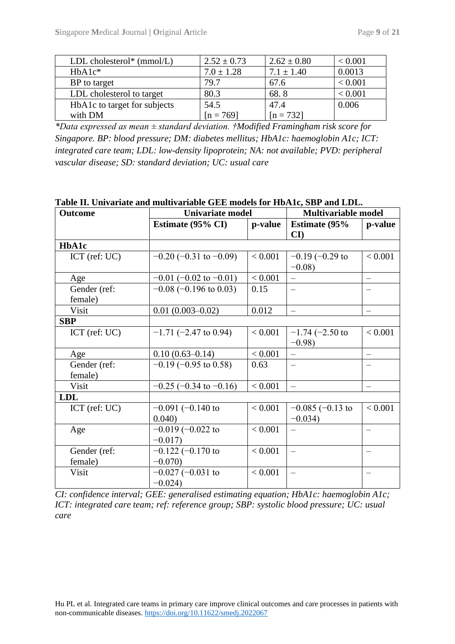| LDL cholesterol* $(mmol/L)$  | $2.52 \pm 0.73$ | $2.62 \pm 0.80$ | < 0.001 |
|------------------------------|-----------------|-----------------|---------|
| $HbA1c*$                     | $7.0 \pm 1.28$  | $7.1 \pm 1.40$  | 0.0013  |
| BP to target                 | 79.7            | 67.6            | < 0.001 |
| LDL cholesterol to target    | 80.3            | 68.8            | < 0.001 |
| HbA1c to target for subjects | 54.5            | 47.4            | 0.006   |
| with DM                      | $[n = 769]$     | $[n = 732]$     |         |

*\*Data expressed as mean ± standard deviation. †Modified Framingham risk score for Singapore. BP: blood pressure; DM: diabetes mellitus; HbA1c: haemoglobin A1c; ICT: integrated care team; LDL: low-density lipoprotein; NA: not available; PVD: peripheral vascular disease; SD: standard deviation; UC: usual care*

| <b>Outcome</b>          | <b>Univariate model</b>              |         | <b>Multivariable model</b>                      |         |  |
|-------------------------|--------------------------------------|---------|-------------------------------------------------|---------|--|
|                         | Estimate (95% CI)                    | p-value | <b>Estimate (95%)</b><br>$\mathbf{C}\mathbf{I}$ | p-value |  |
| <b>HbA1c</b>            |                                      |         |                                                 |         |  |
| $ICT$ (ref: $UC$ )      | $-0.20$ (-0.31 to -0.09)             | < 0.001 | $-0.19$ ( $-0.29$ to<br>$-0.08$ )               | < 0.001 |  |
| Age                     | $-0.01$ (-0.02 to -0.01)             | < 0.001 |                                                 |         |  |
| Gender (ref:<br>female) | $-0.08$ ( $-0.196$ to 0.03)          | 0.15    |                                                 |         |  |
| Visit                   | $0.01(0.003 - 0.02)$                 | 0.012   | $\equiv$                                        |         |  |
| <b>SBP</b>              |                                      |         |                                                 |         |  |
| ICT (ref: UC)           | $-1.71$ (-2.47 to 0.94)              | < 0.001 | $-1.74$ ( $-2.50$ to<br>$-0.98$                 | < 0.001 |  |
| Age                     | $0.10(0.63 - 0.14)$                  | < 0.001 |                                                 |         |  |
| Gender (ref:<br>female) | $-0.19$ ( $-0.95$ to 0.58)           | 0.63    |                                                 |         |  |
| Visit                   | $-0.25$ ( $-0.34$ to $-0.16$ )       | < 0.001 | $\frac{1}{2}$                                   |         |  |
| <b>LDL</b>              |                                      |         |                                                 |         |  |
| $ICT$ (ref: $UC$ )      | $-0.091$ ( $-0.140$ to<br>0.040      | < 0.001 | $-0.085 (-0.13)$<br>$-0.034$ )                  | < 0.001 |  |
| Age                     | $-0.019$ ( $-0.022$ to<br>$-0.017$   | < 0.001 |                                                 |         |  |
| Gender (ref:<br>female) | $-0.122$ $(-0.170$ to<br>$-0.070$    | < 0.001 | $\equiv$                                        |         |  |
| Visit                   | $-0.027$ ( $-0.031$ to<br>$-0.024$ ) | < 0.001 |                                                 |         |  |

**Table II. Univariate and multivariable GEE models for HbA1c, SBP and LDL.**

*CI: confidence interval; GEE: generalised estimating equation; HbA1c: haemoglobin A1c; ICT: integrated care team; ref: reference group; SBP: systolic blood pressure; UC: usual care*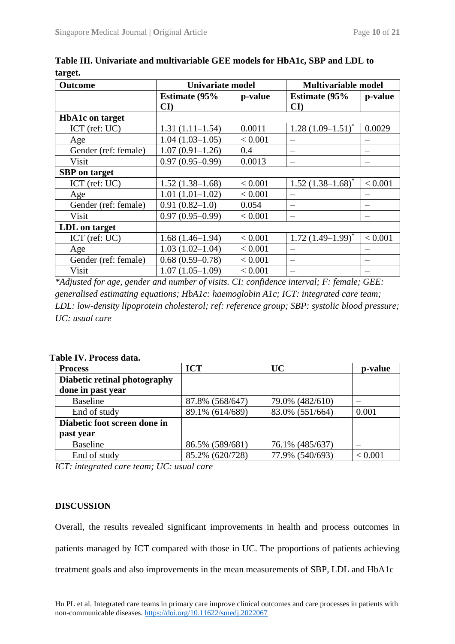| <b>Outcome</b>         | <b>Univariate model</b> |         | <b>Multivariable model</b> |         |
|------------------------|-------------------------|---------|----------------------------|---------|
|                        | <b>Estimate (95%)</b>   | p-value | <b>Estimate (95%)</b>      | p-value |
|                        | $\mathbf{C}\mathbf{I}$  |         | $\mathbf{C}\mathbf{I}$     |         |
| <b>HbA1c</b> on target |                         |         |                            |         |
| $ICT$ (ref: $UC$ )     | $1.31(1.11-1.54)$       | 0.0011  | $1.28(1.09-1.51)^{*}$      | 0.0029  |
| Age                    | $1.04(1.03-1.05)$       | < 0.001 |                            |         |
| Gender (ref: female)   | $1.07(0.91-1.26)$       | 0.4     |                            |         |
| Visit                  | $0.97(0.95-0.99)$       | 0.0013  |                            |         |
| <b>SBP</b> on target   |                         |         |                            |         |
| $ICT$ (ref: $UC$ )     | $1.52(1.38-1.68)$       | < 0.001 | $1.52$ $(1.38-1.68)^*$     | < 0.001 |
| Age                    | $1.01(1.01-1.02)$       | < 0.001 |                            |         |
| Gender (ref: female)   | $0.91(0.82 - 1.0)$      | 0.054   |                            |         |
| Visit                  | $0.97(0.95-0.99)$       | < 0.001 |                            |         |
| LDL on target          |                         |         |                            |         |
| $ICT$ (ref: $UC$ )     | $1.68(1.46-1.94)$       | < 0.001 | $1.72$ $(1.49-1.99)^{*}$   | < 0.001 |
| Age                    | $1.03(1.02 - 1.04)$     | < 0.001 |                            |         |
| Gender (ref: female)   | $0.68(0.59-0.78)$       | < 0.001 |                            |         |
| Visit                  | $1.07(1.05-1.09)$       | < 0.001 |                            |         |

**Table III. Univariate and multivariable GEE models for HbA1c, SBP and LDL to target.**

*\*Adjusted for age, gender and number of visits. CI: confidence interval; F: female; GEE: generalised estimating equations; HbA1c: haemoglobin A1c; ICT: integrated care team; LDL: low-density lipoprotein cholesterol; ref: reference group; SBP: systolic blood pressure; UC: usual care*

| <b>Process</b>               | <b>ICT</b>      | <b>UC</b>       | p-value |
|------------------------------|-----------------|-----------------|---------|
| Diabetic retinal photography |                 |                 |         |
| done in past year            |                 |                 |         |
| <b>Baseline</b>              | 87.8% (568/647) | 79.0% (482/610) |         |
| End of study                 | 89.1% (614/689) | 83.0% (551/664) | 0.001   |
| Diabetic foot screen done in |                 |                 |         |
| past year                    |                 |                 |         |
| <b>Baseline</b>              | 86.5% (589/681) | 76.1% (485/637) |         |
| End of study                 | 85.2% (620/728) | 77.9% (540/693) | < 0.001 |

**Table IV. Process data.**

*ICT: integrated care team; UC: usual care*

#### **DISCUSSION**

Overall, the results revealed significant improvements in health and process outcomes in patients managed by ICT compared with those in UC. The proportions of patients achieving treatment goals and also improvements in the mean measurements of SBP, LDL and HbA1c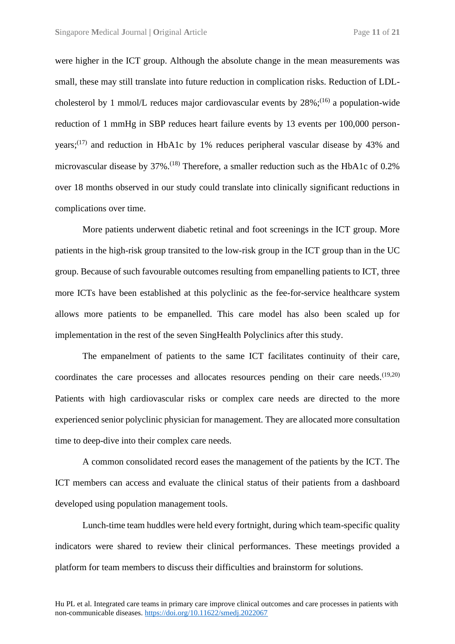were higher in the ICT group. Although the absolute change in the mean measurements was small, these may still translate into future reduction in complication risks. Reduction of LDLcholesterol by 1 mmol/L reduces major cardiovascular events by  $28\%$ ;<sup>(16)</sup> a population-wide reduction of 1 mmHg in SBP reduces heart failure events by 13 events per 100,000 personyears; $(17)$  and reduction in HbA1c by 1% reduces peripheral vascular disease by 43% and microvascular disease by 37%.<sup>(18)</sup> Therefore, a smaller reduction such as the HbA1c of 0.2% over 18 months observed in our study could translate into clinically significant reductions in complications over time.

More patients underwent diabetic retinal and foot screenings in the ICT group. More patients in the high-risk group transited to the low-risk group in the ICT group than in the UC group. Because of such favourable outcomes resulting from empanelling patients to ICT, three more ICTs have been established at this polyclinic as the fee-for-service healthcare system allows more patients to be empanelled. This care model has also been scaled up for implementation in the rest of the seven SingHealth Polyclinics after this study.

The empanelment of patients to the same ICT facilitates continuity of their care, coordinates the care processes and allocates resources pending on their care needs.  $(19,20)$ Patients with high cardiovascular risks or complex care needs are directed to the more experienced senior polyclinic physician for management. They are allocated more consultation time to deep-dive into their complex care needs.

A common consolidated record eases the management of the patients by the ICT. The ICT members can access and evaluate the clinical status of their patients from a dashboard developed using population management tools.

Lunch-time team huddles were held every fortnight, during which team-specific quality indicators were shared to review their clinical performances. These meetings provided a platform for team members to discuss their difficulties and brainstorm for solutions.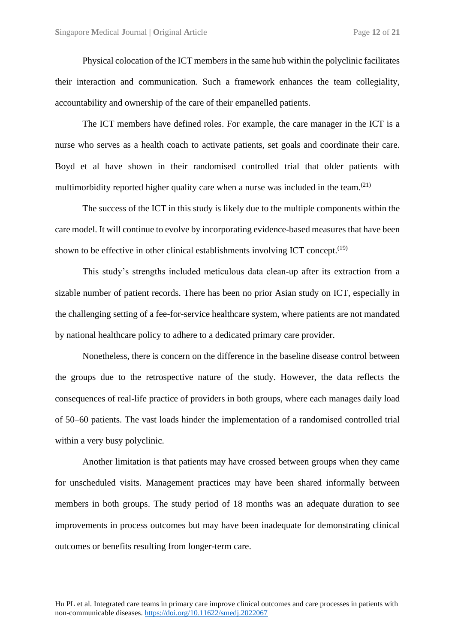Physical colocation of the ICT members in the same hub within the polyclinic facilitates their interaction and communication. Such a framework enhances the team collegiality, accountability and ownership of the care of their empanelled patients.

The ICT members have defined roles. For example, the care manager in the ICT is a nurse who serves as a health coach to activate patients, set goals and coordinate their care. Boyd et al have shown in their randomised controlled trial that older patients with multimorbidity reported higher quality care when a nurse was included in the team.<sup> $(21)$ </sup>

The success of the ICT in this study is likely due to the multiple components within the care model. It will continue to evolve by incorporating evidence-based measures that have been shown to be effective in other clinical establishments involving ICT concept.<sup> $(19)$ </sup>

This study's strengths included meticulous data clean-up after its extraction from a sizable number of patient records. There has been no prior Asian study on ICT, especially in the challenging setting of a fee-for-service healthcare system, where patients are not mandated by national healthcare policy to adhere to a dedicated primary care provider.

Nonetheless, there is concern on the difference in the baseline disease control between the groups due to the retrospective nature of the study. However, the data reflects the consequences of real-life practice of providers in both groups, where each manages daily load of 50–60 patients. The vast loads hinder the implementation of a randomised controlled trial within a very busy polyclinic.

Another limitation is that patients may have crossed between groups when they came for unscheduled visits. Management practices may have been shared informally between members in both groups. The study period of 18 months was an adequate duration to see improvements in process outcomes but may have been inadequate for demonstrating clinical outcomes or benefits resulting from longer-term care.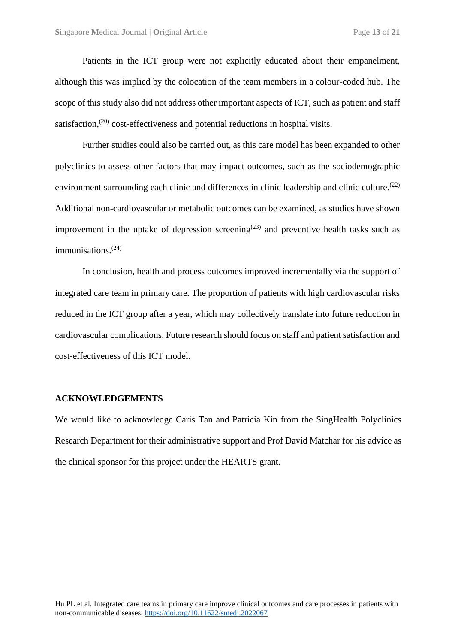Patients in the ICT group were not explicitly educated about their empanelment, although this was implied by the colocation of the team members in a colour-coded hub. The scope of this study also did not address other important aspects of ICT, such as patient and staff satisfaction,<sup> $(20)$ </sup> cost-effectiveness and potential reductions in hospital visits.

Further studies could also be carried out, as this care model has been expanded to other polyclinics to assess other factors that may impact outcomes, such as the sociodemographic environment surrounding each clinic and differences in clinic leadership and clinic culture.<sup>(22)</sup> Additional non-cardiovascular or metabolic outcomes can be examined, as studies have shown improvement in the uptake of depression screening<sup> $(23)$ </sup> and preventive health tasks such as immunisations.<sup>(24)</sup>

In conclusion, health and process outcomes improved incrementally via the support of integrated care team in primary care. The proportion of patients with high cardiovascular risks reduced in the ICT group after a year, which may collectively translate into future reduction in cardiovascular complications. Future research should focus on staff and patient satisfaction and cost-effectiveness of this ICT model.

#### **ACKNOWLEDGEMENTS**

We would like to acknowledge Caris Tan and Patricia Kin from the SingHealth Polyclinics Research Department for their administrative support and Prof David Matchar for his advice as the clinical sponsor for this project under the HEARTS grant.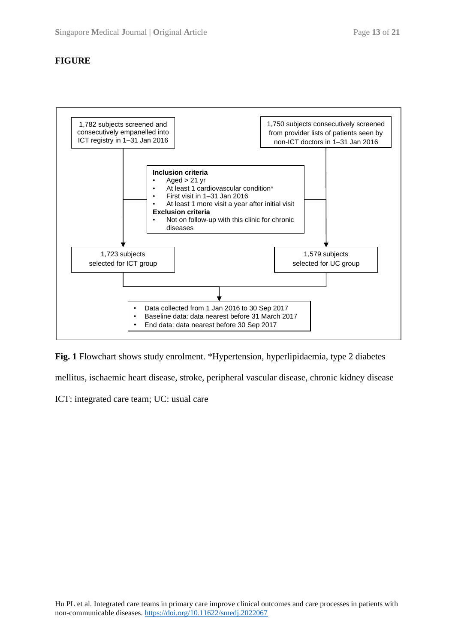### **FIGURE**



**Fig. 1** Flowchart shows study enrolment. \*Hypertension, hyperlipidaemia, type 2 diabetes mellitus, ischaemic heart disease, stroke, peripheral vascular disease, chronic kidney disease

ICT: integrated care team; UC: usual care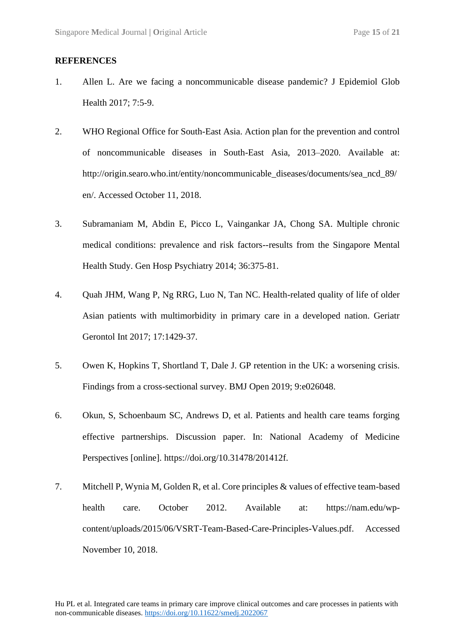#### **REFERENCES**

- 1. Allen L. Are we facing a noncommunicable disease pandemic? J Epidemiol Glob Health 2017; 7:5-9.
- 2. WHO Regional Office for South-East Asia. Action plan for the prevention and control of noncommunicable diseases in South-East Asia, 2013–2020. Available at: [http://origin.searo.who.int/entity/noncommunicable\\_diseases/documents/sea\\_ncd\\_89/](http://origin.searo.who.int/entity/noncommunicable_diseases/documents/sea_ncd_89/en/) [en/.](http://origin.searo.who.int/entity/noncommunicable_diseases/documents/sea_ncd_89/en/) Accessed October 11, 2018.
- 3. Subramaniam M, Abdin E, Picco L, Vaingankar JA, Chong SA. Multiple chronic medical conditions: prevalence and risk factors--results from the Singapore Mental Health Study. Gen Hosp Psychiatry 2014; 36:375-81.
- 4. Quah JHM, Wang P, Ng RRG, Luo N, Tan NC. Health-related quality of life of older Asian patients with multimorbidity in primary care in a developed nation. Geriatr Gerontol Int 2017; 17:1429-37.
- 5. Owen K, Hopkins T, Shortland T, Dale J. GP retention in the UK: a worsening crisis. Findings from a cross-sectional survey. BMJ Open 2019; 9:e026048.
- 6. Okun, S, Schoenbaum SC, Andrews D, et al. Patients and health care teams forging effective partnerships. Discussion paper. In: National Academy of Medicine Perspectives [online]. [https://doi.org/10.31478/201412f.](https://doi.org/10.31478/201412f)
- 7. Mitchell P, Wynia M, Golden R, et al. Core principles & values of effective team-based health care. October 2012. Available at: [https://nam.edu/wp](https://nam.edu/wp-content/uploads/2015/06/VSRT-Team-Based-Care-Principles-Values.pdf)[content/uploads/2015/06/VSRT-Team-Based-Care-Principles-Values.pdf.](https://nam.edu/wp-content/uploads/2015/06/VSRT-Team-Based-Care-Principles-Values.pdf) Accessed November 10, 2018.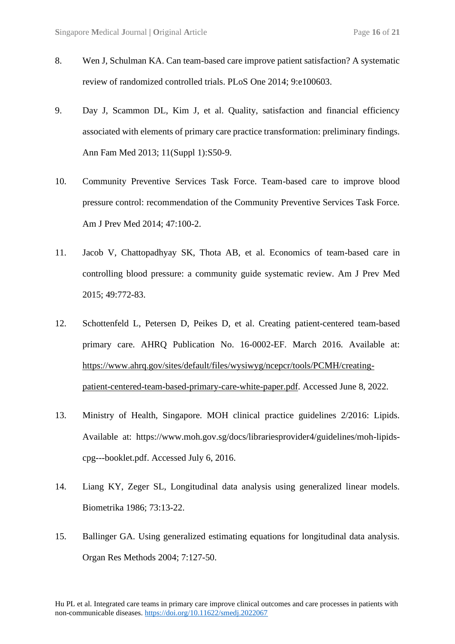- 8. Wen J, Schulman KA. Can team-based care improve patient satisfaction? A systematic review of randomized controlled trials. PLoS One 2014; 9:e100603.
- 9. Day J, Scammon DL, Kim J, et al. Quality, satisfaction and financial efficiency associated with elements of primary care practice transformation: preliminary findings. Ann Fam Med 2013; 11(Suppl 1):S50-9.
- 10. Community Preventive Services Task Force. Team-based care to improve blood pressure control: recommendation of the Community Preventive Services Task Force. Am J Prev Med 2014; 47:100-2.
- 11. Jacob V, Chattopadhyay SK, Thota AB, et al. Economics of team-based care in controlling blood pressure: a community guide systematic review. Am J Prev Med 2015; 49:772-83.
- 12. Schottenfeld L, Petersen D, Peikes D, et al. Creating patient-centered team-based primary care. AHRQ Publication No. 16-0002-EF. March 2016. Available at: [https://www.ahrq.gov/sites/default/files/wysiwyg/ncepcr/tools/PCMH/creating](https://www.ahrq.gov/sites/default/files/wysiwyg/ncepcr/tools/PCMH/creating-patient-centered-team-based-primary-care-white-paper.pdf)[patient-centered-team-based-primary-care-white-paper.pdf.](https://www.ahrq.gov/sites/default/files/wysiwyg/ncepcr/tools/PCMH/creating-patient-centered-team-based-primary-care-white-paper.pdf) Accessed June 8, 2022.
- 13. Ministry of Health, Singapore. MOH clinical practice guidelines 2/2016: Lipids. Available at: [https://www.moh.gov.sg/docs/librariesprovider4/guidelines/moh-lipids](https://www.moh.gov.sg/docs/librariesprovider4/guidelines/moh-lipids-cpg---booklet.pdf)[cpg---booklet.pdf.](https://www.moh.gov.sg/docs/librariesprovider4/guidelines/moh-lipids-cpg---booklet.pdf) Accessed July 6, 2016.
- 14. Liang KY, Zeger SL, Longitudinal data analysis using generalized linear models. Biometrika 1986; 73:13-22.
- 15. Ballinger GA. Using generalized estimating equations for longitudinal data analysis. Organ Res Methods 2004; 7:127-50.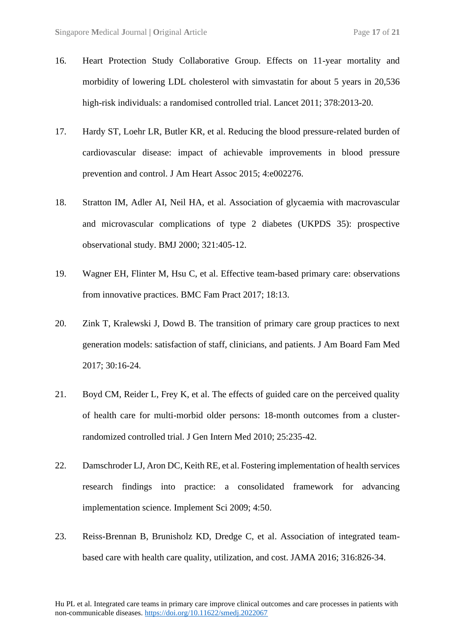- 16. Heart Protection Study Collaborative Group. Effects on 11-year mortality and morbidity of lowering LDL cholesterol with simvastatin for about 5 years in 20,536 high-risk individuals: a randomised controlled trial. Lancet 2011; 378:2013-20.
- 17. Hardy ST, Loehr LR, Butler KR, et al. Reducing the blood pressure-related burden of cardiovascular disease: impact of achievable improvements in blood pressure prevention and control. J Am Heart Assoc 2015; 4:e002276.
- 18. Stratton IM, Adler AI, Neil HA, et al. Association of glycaemia with macrovascular and microvascular complications of type 2 diabetes (UKPDS 35): prospective observational study. BMJ 2000; 321:405-12.
- 19. Wagner EH, Flinter M, Hsu C, et al. Effective team-based primary care: observations from innovative practices. BMC Fam Pract 2017; 18:13.
- 20. Zink T, Kralewski J, Dowd B. The transition of primary care group practices to next generation models: satisfaction of staff, clinicians, and patients. J Am Board Fam Med 2017; 30:16-24.
- 21. Boyd CM, Reider L, Frey K, et al. The effects of guided care on the perceived quality of health care for multi-morbid older persons: 18-month outcomes from a clusterrandomized controlled trial. J Gen Intern Med 2010; 25:235-42.
- 22. Damschroder LJ, Aron DC, Keith RE, et al. Fostering implementation of health services research findings into practice: a consolidated framework for advancing implementation science. Implement Sci 2009; 4:50.
- 23. Reiss-Brennan B, Brunisholz KD, Dredge C, et al. Association of integrated teambased care with health care quality, utilization, and cost. JAMA 2016; 316:826-34.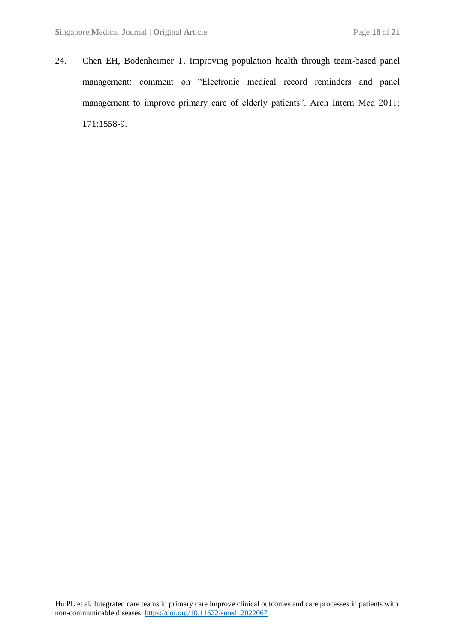24. Chen EH, Bodenheimer T. Improving population health through team-based panel management: comment on "Electronic medical record reminders and panel management to improve primary care of elderly patients". Arch Intern Med 2011; 171:1558-9.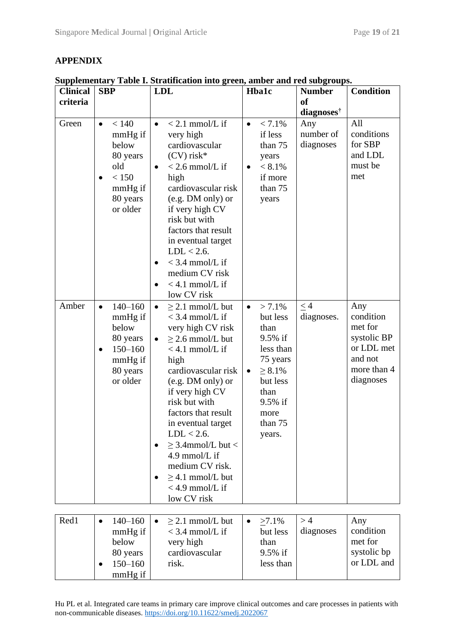## **APPENDIX**

| <b>Clinical</b> | <b>SBP</b>                                                                                                              | <b>LDL</b>                                                                                                                                                                                                                                                                                                                                                                                            | <b>Hba1c</b>                                                                                                                                                            | <b>Number</b>                       | <b>Condition</b>                                                                                |
|-----------------|-------------------------------------------------------------------------------------------------------------------------|-------------------------------------------------------------------------------------------------------------------------------------------------------------------------------------------------------------------------------------------------------------------------------------------------------------------------------------------------------------------------------------------------------|-------------------------------------------------------------------------------------------------------------------------------------------------------------------------|-------------------------------------|-------------------------------------------------------------------------------------------------|
| criteria        |                                                                                                                         |                                                                                                                                                                                                                                                                                                                                                                                                       |                                                                                                                                                                         | <b>of</b><br>diagnoses <sup>†</sup> |                                                                                                 |
| Green           | < 140<br>$\bullet$<br>mmHg if<br>below<br>80 years<br>old<br>< 150<br>mmHg if<br>80 years<br>or older                   | $< 2.1$ mmol/L if<br>$\bullet$<br>very high<br>cardiovascular<br>$(CV)$ risk*<br>$<$ 2.6 mmol/L if<br>$\bullet$<br>high<br>cardiovascular risk<br>(e.g. DM only) or<br>if very high CV<br>risk but with<br>factors that result<br>in eventual target<br>$LDL < 2.6$ .<br>$<$ 3.4 mmol/L if<br>medium CV risk<br>$<$ 4.1 mmol/L if<br>low CV risk                                                      | $< 7.1\%$<br>$\bullet$<br>if less<br>than 75<br>years<br>$< 8.1\%$<br>$\bullet$<br>if more<br>than 75<br>years                                                          | Any<br>number of<br>diagnoses       | All<br>conditions<br>for SBP<br>and LDL<br>must be<br>met                                       |
| Amber           | $140 - 160$<br>$\bullet$<br>mmHg if<br>below<br>80 years<br>$150 - 160$<br>$\bullet$<br>mmHg if<br>80 years<br>or older | $\geq$ 2.1 mmol/L but<br>$\bullet$<br>$<$ 3.4 mmol/L if<br>very high CV risk<br>$> 2.6$ mmol/L but<br>$< 4.1$ mmol/L if<br>high<br>cardiovascular risk<br>(e.g. DM only) or<br>if very high CV<br>risk but with<br>factors that result<br>in eventual target<br>$LDL < 2.6$ .<br>$\geq$ 3.4mmol/L but <<br>4.9 mmol/L if<br>medium CV risk.<br>$>$ 4.1 mmol/L but<br>$<$ 4.9 mmol/L if<br>low CV risk | $> 7.1\%$<br>$\bullet$<br>but less<br>than<br>9.5% if<br>less than<br>75 years<br>$\geq 8.1\%$<br>$\bullet$<br>but less<br>than<br>9.5% if<br>more<br>than 75<br>years. | $\leq 4$<br>diagnoses.              | Any<br>condition<br>met for<br>systolic BP<br>or LDL met<br>and not<br>more than 4<br>diagnoses |
| Red1            | $140 - 160$<br>$\bullet$<br>mmHg if<br>below<br>80 years<br>$150 - 160$<br>mmHg if                                      | $\geq$ 2.1 mmol/L but<br>$\bullet$<br>$<$ 3.4 mmol/L if<br>very high<br>cardiovascular<br>risk.                                                                                                                                                                                                                                                                                                       | $>7.1\%$<br>٠<br>but less<br>than<br>9.5% if<br>less than                                                                                                               | >4<br>diagnoses                     | Any<br>condition<br>met for<br>systolic bp<br>or LDL and                                        |

**Supplementary Table I. Stratification into green, amber and red subgroups.**

Hu PL et al. Integrated care teams in primary care improve clinical outcomes and care processes in patients with non-communicable diseases. <https://doi.org/10.11622/smedj.2022067>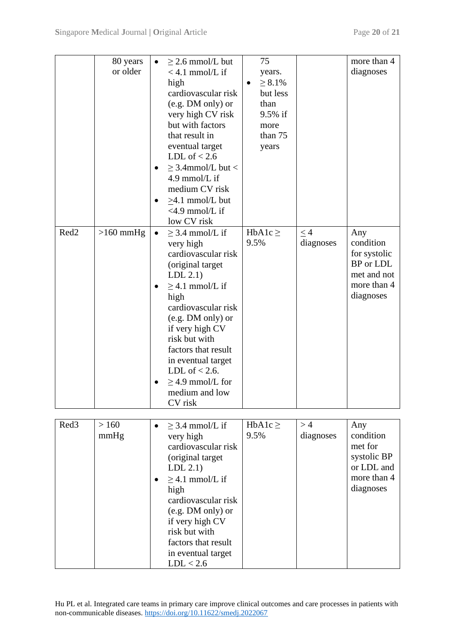|                  | 80 years<br>or older | $\bullet$ | $\geq$ 2.6 mmol/L but<br>$<$ 4.1 mmol/L if<br>high<br>cardiovascular risk<br>(e.g. DM only) or<br>very high CV risk<br>but with factors<br>that result in<br>eventual target<br>LDL of $< 2.6$<br>$\geq$ 3.4mmol/L but <<br>4.9 mmol/L if<br>medium CV risk                                                                                       | 75<br>years.<br>$\geq 8.1\%$<br>$\bullet$<br>but less<br>than<br>9.5% if<br>more<br>than 75<br>years |                       | more than 4<br>diagnoses                                                                 |
|------------------|----------------------|-----------|---------------------------------------------------------------------------------------------------------------------------------------------------------------------------------------------------------------------------------------------------------------------------------------------------------------------------------------------------|------------------------------------------------------------------------------------------------------|-----------------------|------------------------------------------------------------------------------------------|
|                  |                      |           | $\geq 4.1$ mmol/L but<br>$<$ 4.9 mmol/L if                                                                                                                                                                                                                                                                                                        |                                                                                                      |                       |                                                                                          |
| Red <sub>2</sub> | $>160$ mmHg          | $\bullet$ | low CV risk<br>$\geq$ 3.4 mmol/L if<br>very high<br>cardiovascular risk<br>(original target<br>LDL $2.1$ )<br>$\geq$ 4.1 mmol/L if<br>high<br>cardiovascular risk<br>(e.g. DM only) or<br>if very high CV<br>risk but with<br>factors that result<br>in eventual target<br>LDL of $< 2.6$ .<br>$\geq$ 4.9 mmol/L for<br>medium and low<br>CV risk | $HbA1c \geq$<br>9.5%                                                                                 | $\leq$ 4<br>diagnoses | Any<br>condition<br>for systolic<br>BP or LDL<br>met and not<br>more than 4<br>diagnoses |
| Red <sub>3</sub> | >160<br>mmHg         | $\bullet$ | $\geq$ 3.4 mmol/L if<br>very high<br>cardiovascular risk<br>(original target<br>LDL $2.1$ )<br>$\geq$ 4.1 mmol/L if<br>high<br>cardiovascular risk<br>(e.g. DM only) or<br>if very high CV<br>risk but with<br>factors that result<br>in eventual target<br>LDL < 2.6                                                                             | HbA1c $\geq$<br>9.5%                                                                                 | >4<br>diagnoses       | Any<br>condition<br>met for<br>systolic BP<br>or LDL and<br>more than 4<br>diagnoses     |

Hu PL et al. Integrated care teams in primary care improve clinical outcomes and care processes in patients with non-communicable diseases. <https://doi.org/10.11622/smedj.2022067>